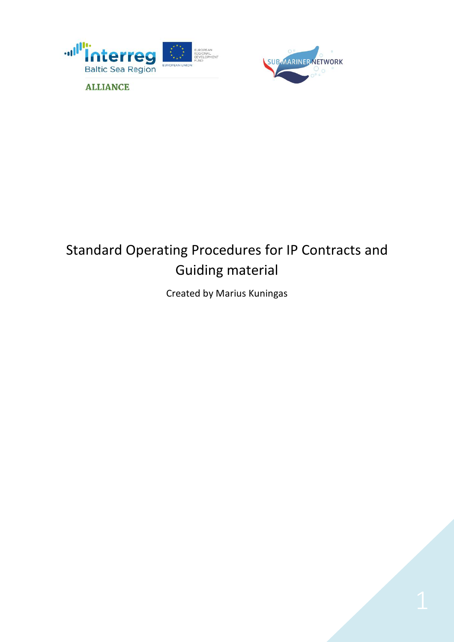



# Standard Operating Procedures for IP Contracts and Guiding material

Created by Marius Kuningas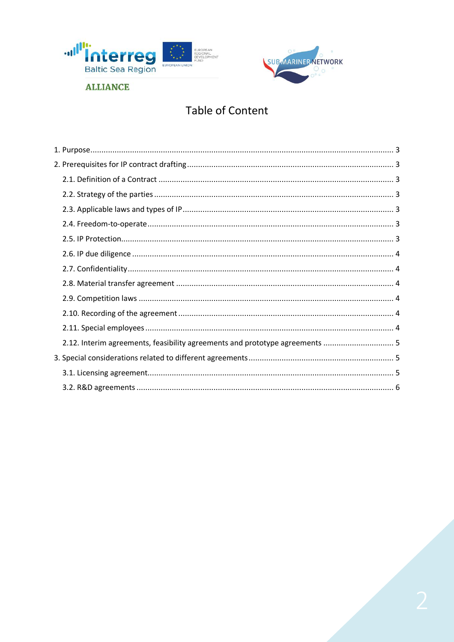



# **Table of Content**

| 2.12. Interim agreements, feasibility agreements and prototype agreements  5 |  |
|------------------------------------------------------------------------------|--|
|                                                                              |  |
|                                                                              |  |
|                                                                              |  |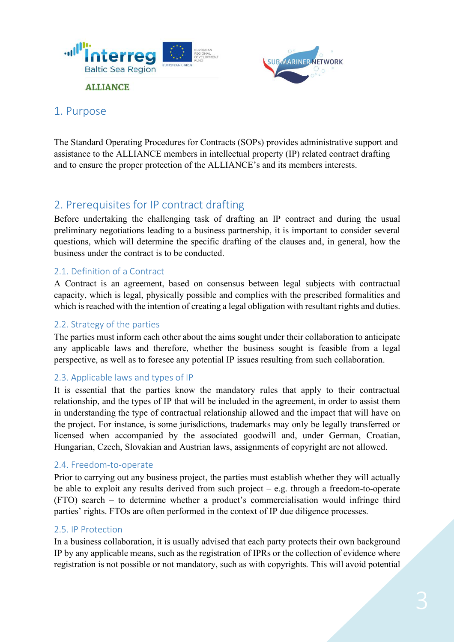



### 1. Purpose

The Standard Operating Procedures for Contracts (SOPs) provides administrative support and assistance to the ALLIANCE members in intellectual property (IP) related contract drafting and to ensure the proper protection of the ALLIANCE's and its members interests.

# 2. Prerequisites for IP contract drafting

Before undertaking the challenging task of drafting an IP contract and during the usual preliminary negotiations leading to a business partnership, it is important to consider several questions, which will determine the specific drafting of the clauses and, in general, how the business under the contract is to be conducted.

#### 2.1. Definition of a Contract

A Contract is an agreement, based on consensus between legal subjects with contractual capacity, which is legal, physically possible and complies with the prescribed formalities and which is reached with the intention of creating a legal obligation with resultant rights and duties.

#### 2.2. Strategy of the parties

The parties must inform each other about the aims sought under their collaboration to anticipate any applicable laws and therefore, whether the business sought is feasible from a legal perspective, as well as to foresee any potential IP issues resulting from such collaboration.

#### 2.3. Applicable laws and types of IP

It is essential that the parties know the mandatory rules that apply to their contractual relationship, and the types of IP that will be included in the agreement, in order to assist them in understanding the type of contractual relationship allowed and the impact that will have on the project. For instance, is some jurisdictions, trademarks may only be legally transferred or licensed when accompanied by the associated goodwill and, under German, Croatian, Hungarian, Czech, Slovakian and Austrian laws, assignments of copyright are not allowed.

#### 2.4. Freedom-to-operate

Prior to carrying out any business project, the parties must establish whether they will actually be able to exploit any results derived from such project – e.g. through a freedom-to-operate (FTO) search – to determine whether a product's commercialisation would infringe third parties' rights. FTOs are often performed in the context of IP due diligence processes.

#### 2.5. IP Protection

In a business collaboration, it is usually advised that each party protects their own background IP by any applicable means, such as the registration of IPRs or the collection of evidence where registration is not possible or not mandatory, such as with copyrights. This will avoid potential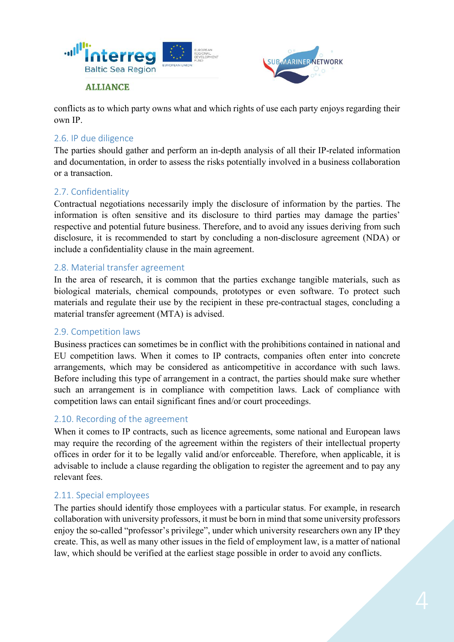



conflicts as to which party owns what and which rights of use each party enjoys regarding their own IP.

#### 2.6. IP due diligence

The parties should gather and perform an in-depth analysis of all their IP-related information and documentation, in order to assess the risks potentially involved in a business collaboration or a transaction.

#### 2.7. Confidentiality

Contractual negotiations necessarily imply the disclosure of information by the parties. The information is often sensitive and its disclosure to third parties may damage the parties' respective and potential future business. Therefore, and to avoid any issues deriving from such disclosure, it is recommended to start by concluding a non-disclosure agreement (NDA) or include a confidentiality clause in the main agreement.

#### 2.8. Material transfer agreement

In the area of research, it is common that the parties exchange tangible materials, such as biological materials, chemical compounds, prototypes or even software. To protect such materials and regulate their use by the recipient in these pre-contractual stages, concluding a material transfer agreement (MTA) is advised.

#### 2.9. Competition laws

Business practices can sometimes be in conflict with the prohibitions contained in national and EU competition laws. When it comes to IP contracts, companies often enter into concrete arrangements, which may be considered as anticompetitive in accordance with such laws. Before including this type of arrangement in a contract, the parties should make sure whether such an arrangement is in compliance with competition laws. Lack of compliance with competition laws can entail significant fines and/or court proceedings.

#### 2.10. Recording of the agreement

When it comes to IP contracts, such as licence agreements, some national and European laws may require the recording of the agreement within the registers of their intellectual property offices in order for it to be legally valid and/or enforceable. Therefore, when applicable, it is advisable to include a clause regarding the obligation to register the agreement and to pay any relevant fees.

#### 2.11. Special employees

The parties should identify those employees with a particular status. For example, in research collaboration with university professors, it must be born in mind that some university professors enjoy the so-called "professor's privilege", under which university researchers own any IP they create. This, as well as many other issues in the field of employment law, is a matter of national law, which should be verified at the earliest stage possible in order to avoid any conflicts.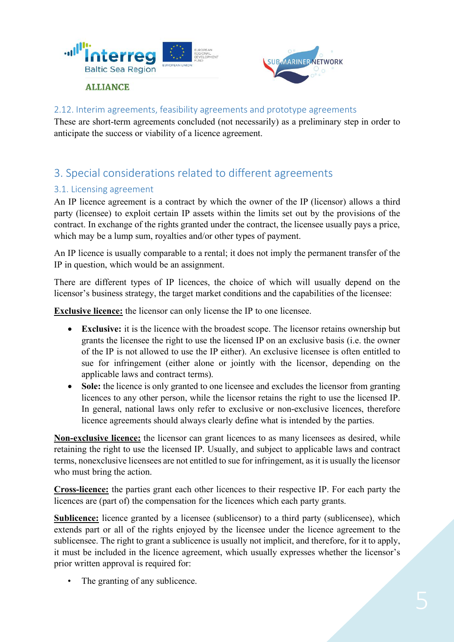



#### 2.12. Interim agreements, feasibility agreements and prototype agreements

These are short-term agreements concluded (not necessarily) as a preliminary step in order to anticipate the success or viability of a licence agreement.

## 3. Special considerations related to different agreements

#### 3.1. Licensing agreement

An IP licence agreement is a contract by which the owner of the IP (licensor) allows a third party (licensee) to exploit certain IP assets within the limits set out by the provisions of the contract. In exchange of the rights granted under the contract, the licensee usually pays a price, which may be a lump sum, royalties and/or other types of payment.

An IP licence is usually comparable to a rental; it does not imply the permanent transfer of the IP in question, which would be an assignment.

There are different types of IP licences, the choice of which will usually depend on the licensor's business strategy, the target market conditions and the capabilities of the licensee:

**Exclusive licence:** the licensor can only license the IP to one licensee.

- **Exclusive:** it is the licence with the broadest scope. The licensor retains ownership but grants the licensee the right to use the licensed IP on an exclusive basis (i.e. the owner of the IP is not allowed to use the IP either). An exclusive licensee is often entitled to sue for infringement (either alone or jointly with the licensor, depending on the applicable laws and contract terms).
- **Sole:** the licence is only granted to one licensee and excludes the licensor from granting licences to any other person, while the licensor retains the right to use the licensed IP. In general, national laws only refer to exclusive or non-exclusive licences, therefore licence agreements should always clearly define what is intended by the parties.

**Non-exclusive licence:** the licensor can grant licences to as many licensees as desired, while retaining the right to use the licensed IP. Usually, and subject to applicable laws and contract terms, nonexclusive licensees are not entitled to sue for infringement, as it is usually the licensor who must bring the action.

**Cross-licence:** the parties grant each other licences to their respective IP. For each party the licences are (part of) the compensation for the licences which each party grants.

**Sublicence:** licence granted by a licensee (sublicensor) to a third party (sublicensee), which extends part or all of the rights enjoyed by the licensee under the licence agreement to the sublicensee. The right to grant a sublicence is usually not implicit, and therefore, for it to apply, it must be included in the licence agreement, which usually expresses whether the licensor's prior written approval is required for:

• The granting of any sublicence.